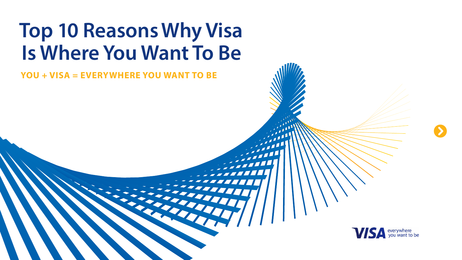# **Top 10 Reasons Why Visa Is Where You Want To Be**

# **YOU + VISA = EVERYWHERE YOU WANT TO BE**



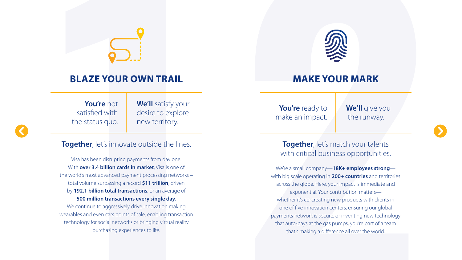# **BLAZE YOUR OWN TRAIL**

**You're** not satisfied with the status quo. **We'll** satisfy your desire to explore new territory.

#### **Together**, let's innovate outside the lines.

Visa has been disrupting payments from day one. With **over 3.4 billion cards in market**, Visa is one of the world's most advanced payment processing networks – total volume surpassing a record **\$11 trillion**, driven by **192.1 billion total transactions**, or an average of **500 million transactions every single day**.

We continue to aggressively drive innovation making wearables and even cars points of sale, enabling transaction technology for social networks or bringing virtual reality purchasing experiences to life.

#### **Together**, let's match your talents with critical business opportunities.

**MAKE YOUR MARK**

**You're** ready to make an impact.

**We'll** give you the runway.

We're a small company—**18K+ employees strong** with big scale operating in **200+ countries** and territories across the globe. Here, your impact is immediate and exponential. Your contribution matters whether it's co-creating new products with clients in one of five innovation centers, ensuring our global payments network is secure, or inventing new technology that auto-pays at the gas pumps, you're part of a team that's making a difference all over the world.





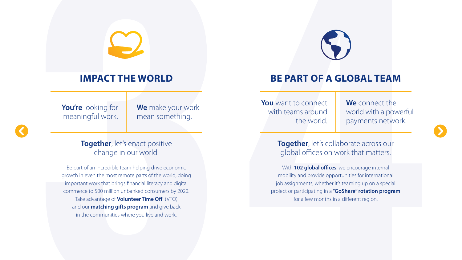# **IMPACT THE WORLD**

**You're** looking for meaningful work. **We** make your work mean something.

#### **Together**, let's enact positive change in our world.

Be part of an incredible team helping drive economic growth in even the most remote parts of the world, doing important work that brings financial literacy and digital commerce to 500 million unbanked consumers by 2020. Take advantage of **Volunteer Time Off** (VTO) and our **matching gifts program** and give back in the communities where you live and work.

# **BE PART OF A GLOBAL TEAM**

**You** want to connect with teams around the world.

**We** connect the world with a powerful payments network.

#### **Together**, let's collaborate across our global offices on work that matters.

With **102 global offices**, we encourage internal mobility and provide opportunities for international job assignments, whether it's teaming up on a special project or participating in a **"GoShare" rotation program** for a few months in a different region.

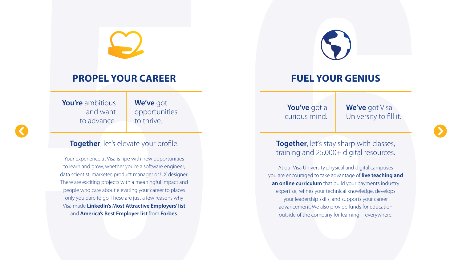# **PROPEL YOUR CAREER**

**You're** ambitious and want to advance.

**We've** got opportunities to thrive.

#### **Together**, let's elevate your profile.

Your experience at Visa is ripe with new opportunities to learn and grow, whether you're a software engineer, data scientist, marketer, product manager or UX designer. There are exciting projects with a meaningful impact and people who care about elevating your career to places only you dare to go. These are just a few reasons why Visa made **LinkedIn's Most Attractive Employers' list**  and **America's Best Employer list** from **Forbes**.



#### **Together**, let's stay sharp with classes, training and 25,000+ digital resources.

## **FUEL YOUR GENIUS**

**You've** got a curious mind.

**We've** got Visa University to fill it.



At our Visa University physical and digital campuses you are encouraged to take advantage of **live teaching and an online curriculum** that build your payments industry expertise, refines your technical knowledge, develops your leadership skills, and supports your career advancement. We also provide funds for education outside of the company for learning—everywhere.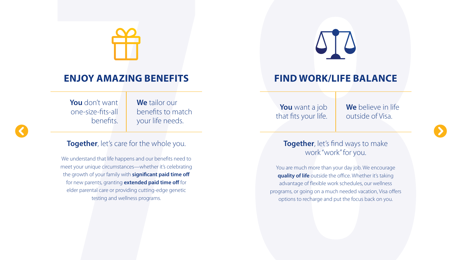

# **ENJOY AMAZING BENEFITS**

You don't want one-size-fits-all benefits.

**We** tailor our benefits to match your life needs.

#### **Together**, let's care for the whole you.

We understand that life happens and our benefits need to meet your unique circumstances—whether it's celebrating the growth of your family with **significant paid time off**  for new parents, granting **extended paid time off** for elder parental care or providing cutting-edge genetic testing and wellness programs.

# **FIND WORK/LIFE BALANCE**

**You** want a job that fits your life.

**We** believe in life outside of Visa.



### **Together**, let's find ways to make work "work" for you.

You are much more than your day job. We encourage **quality of life** outside the office. Whether it's taking advantage of flexible work schedules, our wellness programs, or going on a much needed vacation, Visa offers options to recharge and put the focus back on you.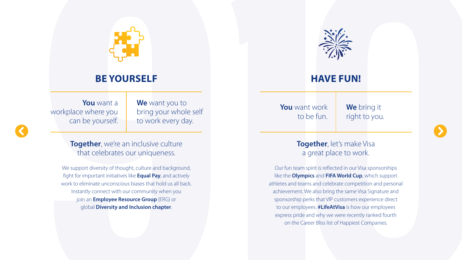# **BE YOURSELF**

**You** want a workplace where you can be yourself. **We** want you to bring your whole self to work every day.

**Together**, we're an inclusive culture that celebrates our uniqueness.

We support diversity of thought, culture and background, fight for important initiatives like **Equal Pay**, and actively work to eliminate unconscious biases that hold us all back. Instantly connect with our community when you join an **Employee Resource Group** (ERG) or global **Diversity and Inclusion chapter**.

### **HAVE FUN!**

**You** want work to be fun.

**We** bring it right to you.

### **Together**, let's make Visa a great place to work.

Our fun team spirit is reflected in our Visa sponsorships like the **Olympics** and **FIFA World Cup**, which support athletes and teams and celebrate competition and personal achievement. We also bring the same Visa Signature and sponsorship perks that VIP customers experience direct to our employees. **#LifeAtVisa** is how our employees express pride and why we were recently ranked fourth on the Career Bliss list of Happiest Companies.